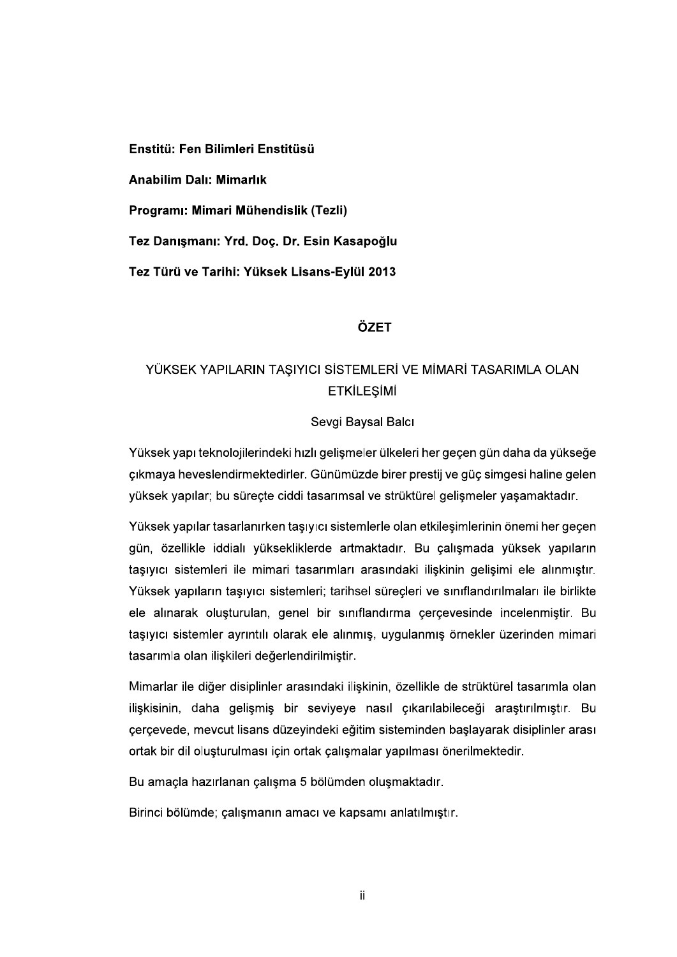Enstitü: Fen Bilimleri Enstitüsü

**Anabilim Dalı: Mimarlık** 

Programı: Mimari Mühendislik (Tezli)

Tez Danışmanı: Yrd. Doç. Dr. Esin Kasapoğlu

Tez Türü ve Tarihi: Yüksek Lisans-Eylül 2013

### ÖZET

# YÜKSEK YAPILARIN TAŞIYICI SİSTEMLERİ VE MİMARİ TASARIMLA OLAN **ETKİLEŞİMİ**

#### Sevgi Baysal Balcı

Yüksek yapı teknolojilerindeki hızlı gelişmeler ülkeleri her geçen gün daha da yükseğe çıkmaya heveslendirmektedirler. Günümüzde birer prestij ve güç simgesi haline gelen yüksek yapılar; bu süreçte ciddi tasarımsal ve strüktürel gelişmeler yaşamaktadır.

Yüksek yapılar tasarlanırken taşıyıcı sistemlerle olan etkileşimlerinin önemi her geçen gün, özellikle iddialı yüksekliklerde artmaktadır. Bu çalışmada yüksek yapıların taşıyıcı sistemleri ile mimari tasarımları arasındaki ilişkinin gelişimi ele alınmıştır. Yüksek yapıların taşıyıcı sistemleri; tarihsel süreçleri ve sınıflandırılmaları ile birlikte ele alınarak oluşturulan, genel bir sınıflandırma çerçevesinde incelenmiştir. Bu taşıyıcı sistemler ayrıntılı olarak ele alınmış, uygulanmış örnekler üzerinden mimari tasarımla olan ilişkileri değerlendirilmiştir.

Mimarlar ile diğer disiplinler arasındaki ilişkinin, özellikle de strüktürel tasarımla olan iliskisinin, daha gelismis bir seviyeye nasıl çıkarılabileceği arastırılmıştır. Bu cercevede, mevcut lisans düzevindeki eğitim sisteminden baslayarak disiplinler arası ortak bir dil oluşturulması için ortak çalışmalar yapılması önerilmektedir.

Bu amaçla hazırlanan çalışma 5 bölümden oluşmaktadır.

Birinci bölümde; çalışmanın amacı ve kapsamı anlatılmıştır.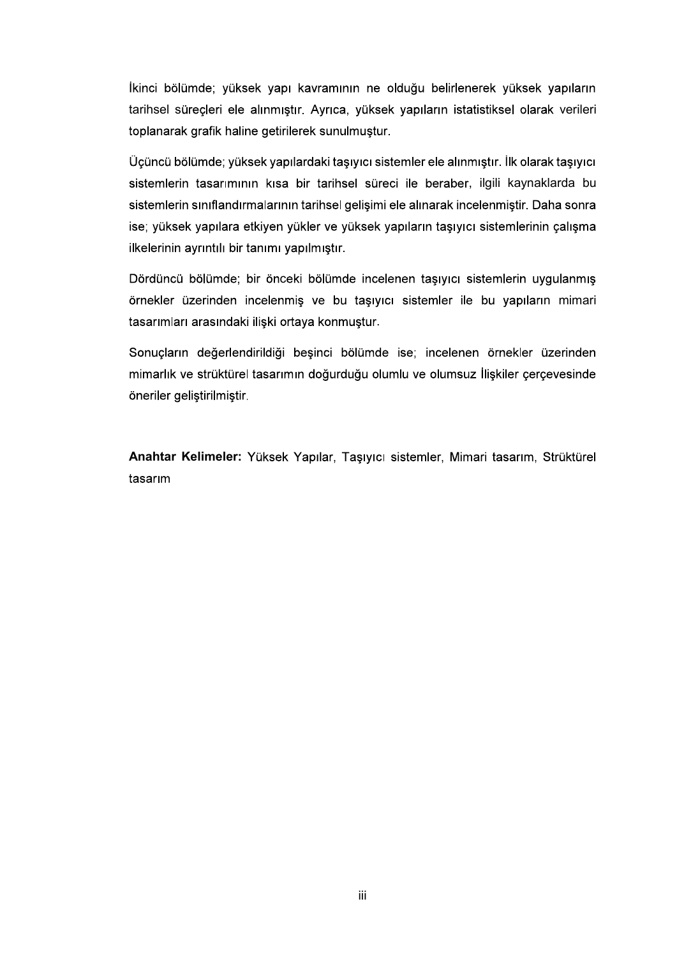İkinci bölümde; yüksek yapı kavramının ne olduğu belirlenerek yüksek yapıların tarihsel süreçleri ele alınmıştır. Ayrıca, yüksek yapıların istatistiksel olarak verileri toplanarak grafik haline getirilerek sunulmuştur.

Üçüncü bölümde; yüksek yapılardaki taşıyıcı sistemler ele alınmıştır. İlk olarak taşıyıcı sistemlerin tasarımının kısa bir tarihsel süreci ile beraber, ilgili kaynaklarda bu sistemlerin sınıflandırmalarının tarihsel gelişimi ele alınarak incelenmiştir. Daha sonra ise; yüksek yapılara etkiyen yükler ve yüksek yapıların taşıyıcı sistemlerinin çalışma ilkelerinin ayrıntılı bir tanımı yapılmıştır.

Dördüncü bölümde; bir önceki bölümde incelenen taşıyıcı sistemlerin uygulanmış örnekler üzerinden incelenmiş ve bu taşıyıcı sistemler ile bu yapıların mimari tasarımları arasındaki ilişki ortaya konmuştur.

Sonuçların değerlendirildiği beşinci bölümde ise; incelenen örnekler üzerinden mimarlık ve strüktürel tasarımın doğurduğu olumlu ve olumsuz İlişkiler çerçevesinde öneriler geliştirilmiştir.

Anahtar Kelimeler: Yüksek Yapılar, Taşıyıcı sistemler, Mimari tasarım, Strüktürel tasarım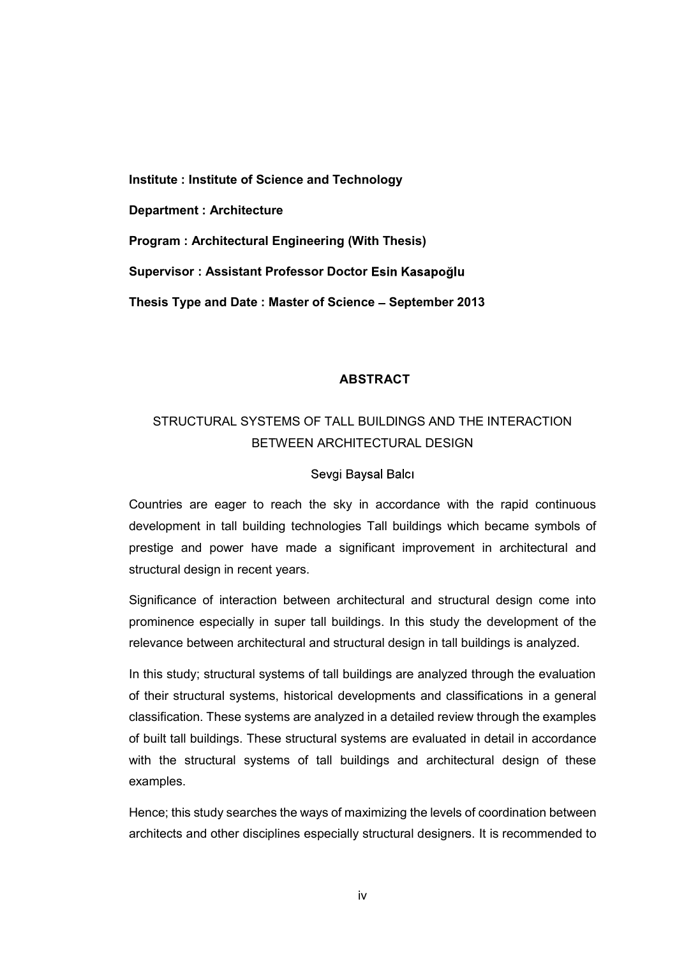Institute : Institute of Science and Technology Department : Architecture Program : Architectural Engineering (With Thesis) Supervisor : Assistant Professor Doctor Esin Kasapoğlu<br>Thesis Type and Date : Master of Science – September 2013

### ABSTRACT

# STRUCTURAL SYSTEMS OF TALL BUILDINGS AND THE INTERACTION BETWEEN ARCHITECTURAL DESIGN

#### Sevgi Baysal Balcı

Countries are eager to reach the sky in accordance with the rapid continuous development in tall building technologies Tall buildings which became symbols of prestige and power have made a significant improvement in architectural and structural design in recent years.

Significance of interaction between architectural and structural design come into prominence especially in super tall buildings. In this study the development of the relevance between architectural and structural design in tall buildings is analyzed.

In this study; structural systems of tall buildings are analyzed through the evaluation of their structural systems, historical developments and classifications in a general classification. These systems are analyzed in a detailed review through the examples of built tall buildings. These structural systems are evaluated in detail in accordance with the structural systems of tall buildings and architectural design of these examples.

Hence; this study searches the ways of maximizing the levels of coordination between architects and other disciplines especially structural designers. It is recommended to